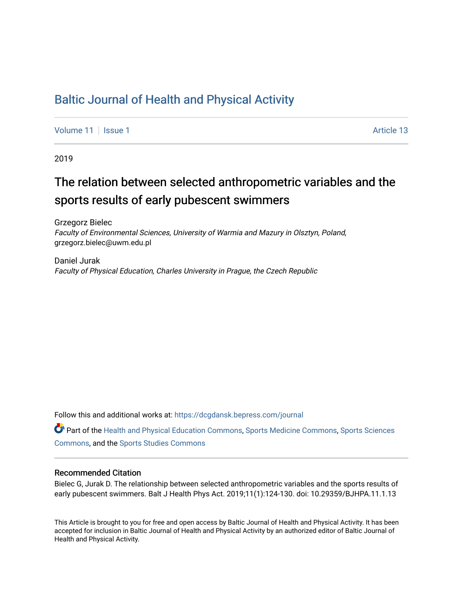# [Baltic Journal of Health and Physical Activity](https://dcgdansk.bepress.com/journal)

[Volume 11](https://dcgdansk.bepress.com/journal/vol11) | [Issue 1](https://dcgdansk.bepress.com/journal/vol11/iss1) Article 13

2019

# The relation between selected anthropometric variables and the sports results of early pubescent swimmers

Grzegorz Bielec Faculty of Environmental Sciences, University of Warmia and Mazury in Olsztyn, Poland, grzegorz.bielec@uwm.edu.pl

Daniel Jurak Faculty of Physical Education, Charles University in Prague, the Czech Republic

Follow this and additional works at: [https://dcgdansk.bepress.com/journal](https://dcgdansk.bepress.com/journal?utm_source=dcgdansk.bepress.com%2Fjournal%2Fvol11%2Fiss1%2F13&utm_medium=PDF&utm_campaign=PDFCoverPages)

Part of the [Health and Physical Education Commons](http://network.bepress.com/hgg/discipline/1327?utm_source=dcgdansk.bepress.com%2Fjournal%2Fvol11%2Fiss1%2F13&utm_medium=PDF&utm_campaign=PDFCoverPages), [Sports Medicine Commons,](http://network.bepress.com/hgg/discipline/1331?utm_source=dcgdansk.bepress.com%2Fjournal%2Fvol11%2Fiss1%2F13&utm_medium=PDF&utm_campaign=PDFCoverPages) [Sports Sciences](http://network.bepress.com/hgg/discipline/759?utm_source=dcgdansk.bepress.com%2Fjournal%2Fvol11%2Fiss1%2F13&utm_medium=PDF&utm_campaign=PDFCoverPages) [Commons](http://network.bepress.com/hgg/discipline/759?utm_source=dcgdansk.bepress.com%2Fjournal%2Fvol11%2Fiss1%2F13&utm_medium=PDF&utm_campaign=PDFCoverPages), and the [Sports Studies Commons](http://network.bepress.com/hgg/discipline/1198?utm_source=dcgdansk.bepress.com%2Fjournal%2Fvol11%2Fiss1%2F13&utm_medium=PDF&utm_campaign=PDFCoverPages) 

#### Recommended Citation

Bielec G, Jurak D. The relationship between selected anthropometric variables and the sports results of early pubescent swimmers. Balt J Health Phys Act. 2019;11(1):124-130. doi: 10.29359/BJHPA.11.1.13

This Article is brought to you for free and open access by Baltic Journal of Health and Physical Activity. It has been accepted for inclusion in Baltic Journal of Health and Physical Activity by an authorized editor of Baltic Journal of Health and Physical Activity.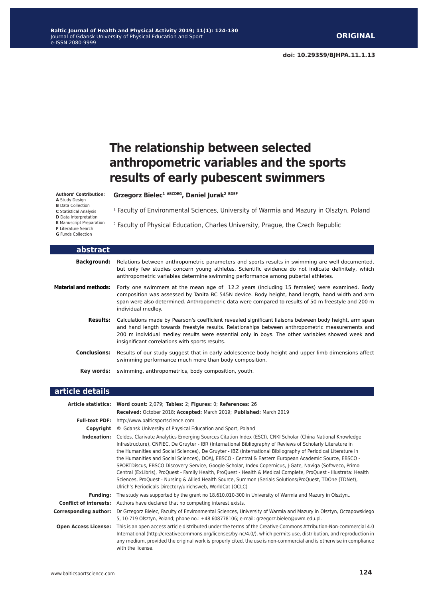# **The relationship between selected anthropometric variables and the sports results of early pubescent swimmers**

#### **Authors' Contribution:**

**A** Study Design

**B** Data Collection

**C** Statistical Analysis

**D** Data Interpretation **E** Manuscript Preparation

**F** Literature Search

**G** Funds Collection

**Grzegorz Bielec1 ABCDEG, Daniel Jurak2 BDEF**

<sup>1</sup> Faculty of Environmental Sciences, University of Warmia and Mazury in Olsztyn, Poland

2 Faculty of Physical Education, Charles University, Prague, the Czech Republic

**abstract Background:** Relations between anthropometric parameters and sports results in swimming are well documented, but only few studies concern young athletes. Scientific evidence do not indicate definitely, which anthropometric variables determine swimming performance among pubertal athletes. **Material and methods:** Forty one swimmers at the mean age of 12.2 years (including 15 females) were examined. Body composition was assessed by Tanita BC 545N device. Body height, hand length, hand width and arm span were also determined. Anthropometric data were compared to results of 50 m freestyle and 200 m individual medley. **Results:** Calculations made by Pearson's coefficient revealed significant liaisons between body height, arm span and hand length towards freestyle results. Relationships between anthropometric measurements and 200 m individual medley results were essential only in boys. The other variables showed week and insignificant correlations with sports results. **Conclusions:** Results of our study suggest that in early adolescence body height and upper limb dimensions affect swimming performance much more than body composition. **Key words:** swimming, anthropometrics, body composition, youth.

#### **article details**

|                               | Article statistics: Word count: 2,079; Tables: 2; Figures: 0; References: 26                                                                                                                                                                                                                                                                                                                                                                                                                                                                                                                                                                                                                                                                                                                                                                                  |
|-------------------------------|---------------------------------------------------------------------------------------------------------------------------------------------------------------------------------------------------------------------------------------------------------------------------------------------------------------------------------------------------------------------------------------------------------------------------------------------------------------------------------------------------------------------------------------------------------------------------------------------------------------------------------------------------------------------------------------------------------------------------------------------------------------------------------------------------------------------------------------------------------------|
|                               | Received: October 2018; Accepted: March 2019; Published: March 2019                                                                                                                                                                                                                                                                                                                                                                                                                                                                                                                                                                                                                                                                                                                                                                                           |
|                               | <b>Full-text PDF:</b> http://www.balticsportscience.com                                                                                                                                                                                                                                                                                                                                                                                                                                                                                                                                                                                                                                                                                                                                                                                                       |
| Copyright                     | © Gdansk University of Physical Education and Sport, Poland                                                                                                                                                                                                                                                                                                                                                                                                                                                                                                                                                                                                                                                                                                                                                                                                   |
| Indexation:                   | Celdes, Clarivate Analytics Emerging Sources Citation Index (ESCI), CNKI Scholar (China National Knowledge<br>Infrastructure), CNPIEC, De Gruyter - IBR (International Bibliography of Reviews of Scholarly Literature in<br>the Humanities and Social Sciences), De Gruyter - IBZ (International Bibliography of Periodical Literature in<br>the Humanities and Social Sciences), DOAJ, EBSCO - Central & Eastern European Academic Source, EBSCO -<br>SPORTDiscus, EBSCO Discovery Service, Google Scholar, Index Copernicus, J-Gate, Naviga (Softweco, Primo<br>Central (ExLibris), ProQuest - Family Health, ProQuest - Health & Medical Complete, ProQuest - Illustrata: Health<br>Sciences, ProQuest - Nursing & Allied Health Source, Summon (Serials Solutions/ProQuest, TDOne (TDNet),<br>Ulrich's Periodicals Directory/ulrichsweb, WorldCat (OCLC) |
| <b>Funding:</b>               | The study was supported by the grant no 18.610.010-300 in University of Warmia and Mazury in Olsztyn                                                                                                                                                                                                                                                                                                                                                                                                                                                                                                                                                                                                                                                                                                                                                          |
| <b>Conflict of interests:</b> | Authors have declared that no competing interest exists.                                                                                                                                                                                                                                                                                                                                                                                                                                                                                                                                                                                                                                                                                                                                                                                                      |
| Corresponding author:         | Dr Grzegorz Bielec, Faculty of Environmental Sciences, University of Warmia and Mazury in Olsztyn, Oczapowskiego<br>5, 10-719 Olsztyn, Poland; phone no.: +48 608778106; e-mail: grzegorz.bielec@uwm.edu.pl.                                                                                                                                                                                                                                                                                                                                                                                                                                                                                                                                                                                                                                                  |
| <b>Open Access License:</b>   | This is an open access article distributed under the terms of the Creative Commons Attribution-Non-commercial 4.0<br>International (http://creativecommons.org/licenses/by-nc/4.0/), which permits use, distribution, and reproduction in<br>any medium, provided the original work is properly cited, the use is non-commercial and is otherwise in compliance<br>with the license.                                                                                                                                                                                                                                                                                                                                                                                                                                                                          |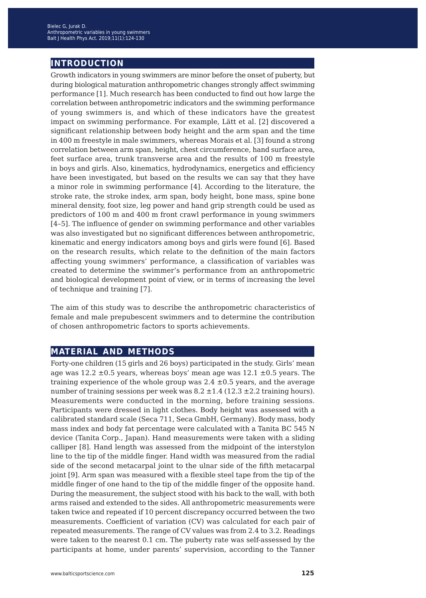## **introduction**

Growth indicators in young swimmers are minor before the onset of puberty, but during biological maturation anthropometric changes strongly affect swimming performance [1]. Much research has been conducted to find out how large the correlation between anthropometric indicators and the swimming performance of young swimmers is, and which of these indicators have the greatest impact on swimming performance. For example, Lätt et al. [2] discovered a significant relationship between body height and the arm span and the time in 400 m freestyle in male swimmers, whereas Morais et al. [3] found a strong correlation between arm span, height, chest circumference, hand surface area, feet surface area, trunk transverse area and the results of 100 m freestyle in boys and girls. Also, kinematics, hydrodynamics, energetics and efficiency have been investigated, but based on the results we can say that they have a minor role in swimming performance [4]. According to the literature, the stroke rate, the stroke index, arm span, body height, bone mass, spine bone mineral density, foot size, leg power and hand grip strength could be used as predictors of 100 m and 400 m front crawl performance in young swimmers [4–5]. The influence of gender on swimming performance and other variables was also investigated but no significant differences between anthropometric, kinematic and energy indicators among boys and girls were found [6]. Based on the research results, which relate to the definition of the main factors affecting young swimmers' performance, a classification of variables was created to determine the swimmer's performance from an anthropometric and biological development point of view, or in terms of increasing the level of technique and training [7].

The aim of this study was to describe the anthropometric characteristics of female and male prepubescent swimmers and to determine the contribution of chosen anthropometric factors to sports achievements.

## **material and methods**

Forty-one children (15 girls and 26 boys) participated in the study. Girls' mean age was  $12.2 \pm 0.5$  years, whereas boys' mean age was  $12.1 \pm 0.5$  years. The training experience of the whole group was  $2.4 \pm 0.5$  years, and the average number of training sessions per week was  $8.2 \pm 1.4$  (12.3  $\pm 2.2$  training hours). Measurements were conducted in the morning, before training sessions. Participants were dressed in light clothes. Body height was assessed with a calibrated standard scale (Seca 711, Seca GmbH, Germany). Body mass, body mass index and body fat percentage were calculated with a Tanita BC 545 N device (Tanita Corp., Japan). Hand measurements were taken with a sliding calliper [8]. Hand length was assessed from the midpoint of the interstylon line to the tip of the middle finger. Hand width was measured from the radial side of the second metacarpal joint to the ulnar side of the fifth metacarpal joint [9]. Arm span was measured with a flexible steel tape from the tip of the middle finger of one hand to the tip of the middle finger of the opposite hand. During the measurement, the subject stood with his back to the wall, with both arms raised and extended to the sides. All anthropometric measurements were taken twice and repeated if 10 percent discrepancy occurred between the two measurements. Coefficient of variation (CV) was calculated for each pair of repeated measurements. The range of CV values was from 2.4 to 3.2. Readings were taken to the nearest 0.1 cm. The puberty rate was self-assessed by the participants at home, under parents' supervision, according to the Tanner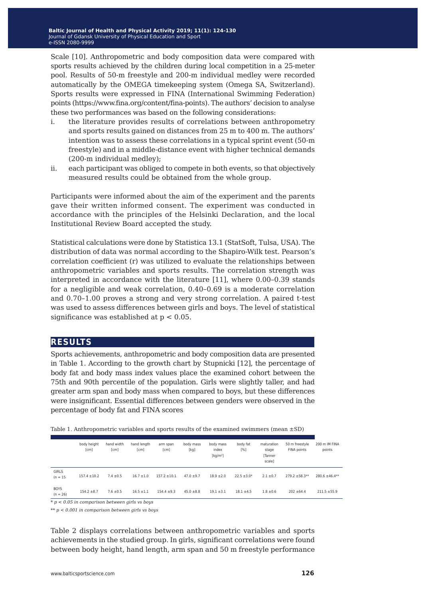Scale [10]. Anthropometric and body composition data were compared with sports results achieved by the children during local competition in a 25-meter pool. Results of 50-m freestyle and 200-m individual medley were recorded automatically by the OMEGA timekeeping system (Omega SA, Switzerland). Sports results were expressed in FINA (International Swimming Federation) points (https://www.fina.org/content/fina-points). The authors' decision to analyse these two performances was based on the following considerations:

- i. the literature provides results of correlations between anthropometry and sports results gained on distances from 25 m to 400 m. The authors' intention was to assess these correlations in a typical sprint event (50-m freestyle) and in a middle-distance event with higher technical demands (200-m individual medley);
- ii. each participant was obliged to compete in both events, so that objectively measured results could be obtained from the whole group.

Participants were informed about the aim of the experiment and the parents gave their written informed consent. The experiment was conducted in accordance with the principles of the Helsinki Declaration, and the local Institutional Review Board accepted the study.

Statistical calculations were done by Statistica 13.1 (StatSoft, Tulsa, USA). The distribution of data was normal according to the Shapiro-Wilk test. Pearson's correlation coefficient (r) was utilized to evaluate the relationships between anthropometric variables and sports results. The correlation strength was interpreted in accordance with the literature [11], where 0.00–0.39 stands for a negligible and weak correlation, 0.40–0.69 is a moderate correlation and 0.70–1.00 proves a strong and very strong correlation. A paired t-test was used to assess differences between girls and boys. The level of statistical significance was established at  $p < 0.05$ .

## **results**

Sports achievements, anthropometric and body composition data are presented in Table 1. According to the growth chart by Stupnicki [12], the percentage of body fat and body mass index values place the examined cohort between the 75th and 90th percentile of the population. Girls were slightly taller, and had greater arm span and body mass when compared to boys, but these differences were insignificant. Essential differences between genders were observed in the percentage of body fat and FINA scores

|  | Table 1. Anthropometric variables and sports results of the examined swimmers (mean $\pm$ SD) |  |  |  |  |  |  |  |
|--|-----------------------------------------------------------------------------------------------|--|--|--|--|--|--|--|
|--|-----------------------------------------------------------------------------------------------|--|--|--|--|--|--|--|

|                            | body height<br>[cm] | hand width<br>[cm] | hand length<br>[cm] | arm span<br>[cm] | body mass<br>[kg] | body mass<br>index<br>$\left[\frac{\text{kg}}{\text{m}^2}\right]$ | body fat<br>[%] | maturation<br>stage<br><b>Tanner</b><br>scale] | 50 m freestyle<br>FINA points | 200 m IM FINA<br>points |
|----------------------------|---------------------|--------------------|---------------------|------------------|-------------------|-------------------------------------------------------------------|-----------------|------------------------------------------------|-------------------------------|-------------------------|
| <b>GIRLS</b><br>$(n = 15)$ | $157.4 \pm 10.2$    | $7.4 + 0.5$        | $16.7 + 1.0$        | $157.2 + 10.1$   | $47.0 + 9.7$      | $18.9 + 2.0$                                                      | $22.5 \pm 3.0*$ | $2.1 \pm 0.7$                                  | $279.2 \pm 58.3**$            | $280.6 + 46.4**$        |
| <b>BOYS</b><br>$(n = 26)$  | $154.2 \pm 8.7$     | $7.6 \pm 0.5$      | $16.5 \pm 1.1$      | $154.4 \pm 9.3$  | $45.0 \pm 8.8$    | $19.1 \pm 3.1$                                                    | $18.1 \pm 4.5$  | $1.8 \pm 0.6$                                  | $202 + 64.4$                  | $211.5 \pm 55.9$        |

*\* p < 0.05 in comparison between girls vs boys*

*\*\* p < 0.001 in comparison between girls vs boys*

Table 2 displays correlations between anthropometric variables and sports achievements in the studied group. In girls, significant correlations were found between body height, hand length, arm span and 50 m freestyle performance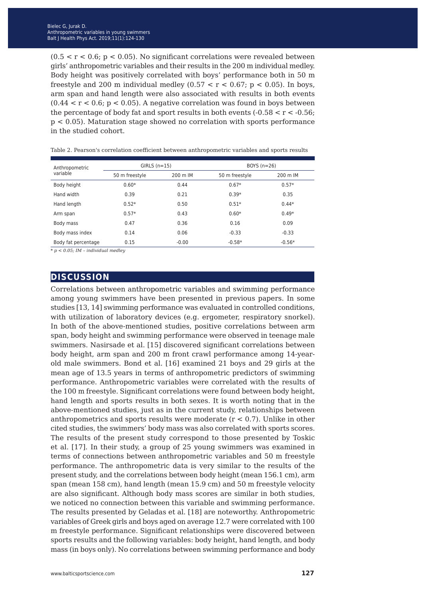$(0.5 < r < 0.6; p < 0.05)$ . No significant correlations were revealed between girls' anthropometric variables and their results in the 200 m individual medley. Body height was positively correlated with boys' performance both in 50 m freestyle and 200 m individual medley  $(0.57 < r < 0.67; p < 0.05)$ . In boys, arm span and hand length were also associated with results in both events  $(0.44 < r < 0.6; p < 0.05)$ . A negative correlation was found in boys between the percentage of body fat and sport results in both events  $(-0.58 < r < -0.56)$ ; p < 0.05). Maturation stage showed no correlation with sports performance in the studied cohort.

| Anthropometric      | $GIRLS$ (n=15) |          | BOYS $(n=26)$  |          |  |
|---------------------|----------------|----------|----------------|----------|--|
| variable            | 50 m freestyle | 200 m IM | 50 m freestyle | 200 m IM |  |
| Body height         | $0.60*$        | 0.44     | $0.67*$        | $0.57*$  |  |
| Hand width          | 0.39           | 0.21     | $0.39*$        | 0.35     |  |
| Hand length         | $0.52*$        | 0.50     | $0.51*$        | $0.44*$  |  |
| Arm span            | $0.57*$        | 0.43     | $0.60*$        | $0.49*$  |  |
| Body mass           | 0.47           | 0.36     | 0.16           | 0.09     |  |
| Body mass index     | 0.14           | 0.06     | $-0.33$        | $-0.33$  |  |
| Body fat percentage | 0.15           | $-0.00$  | $-0.58*$       | $-0.56*$ |  |

Table 2. Pearson's correlation coefficient between anthropometric variables and sports results

*\* p < 0.05; IM – individual medley*

### **discussion**

Correlations between anthropometric variables and swimming performance among young swimmers have been presented in previous papers. In some studies [13, 14] swimming performance was evaluated in controlled conditions, with utilization of laboratory devices (e.g. ergometer, respiratory snorkel). In both of the above-mentioned studies, positive correlations between arm span, body height and swimming performance were observed in teenage male swimmers. Nasirsade et al. [15] discovered significant correlations between body height, arm span and 200 m front crawl performance among 14-yearold male swimmers. Bond et al. [16] examined 21 boys and 29 girls at the mean age of 13.5 years in terms of anthropometric predictors of swimming performance. Anthropometric variables were correlated with the results of the 100 m freestyle. Significant correlations were found between body height, hand length and sports results in both sexes. It is worth noting that in the above-mentioned studies, just as in the current study, relationships between anthropometrics and sports results were moderate  $(r < 0.7)$ . Unlike in other cited studies, the swimmers' body mass was also correlated with sports scores. The results of the present study correspond to those presented by Toskic et al. [17]. In their study, a group of 25 young swimmers was examined in terms of connections between anthropometric variables and 50 m freestyle performance. The anthropometric data is very similar to the results of the present study, and the correlations between body height (mean 156.1 cm), arm span (mean 158 cm), hand length (mean 15.9 cm) and 50 m freestyle velocity are also significant. Although body mass scores are similar in both studies, we noticed no connection between this variable and swimming performance. The results presented by Geladas et al. [18] are noteworthy. Anthropometric variables of Greek girls and boys aged on average 12.7 were correlated with 100 m freestyle performance. Significant relationships were discovered between sports results and the following variables: body height, hand length, and body mass (in boys only). No correlations between swimming performance and body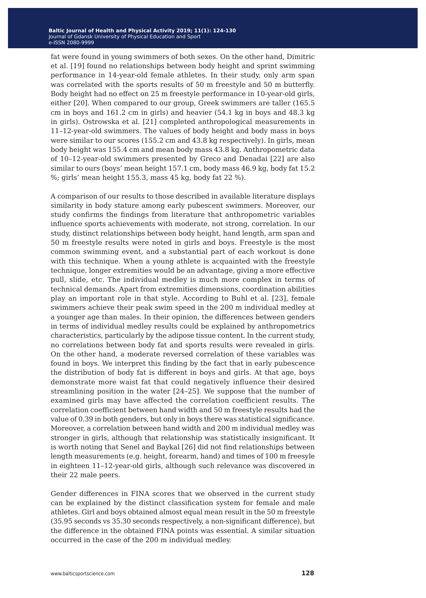fat were found in young swimmers of both sexes. On the other hand, Dimitric et al. [19] found no relationships between body height and sprint swimming performance in 14-year-old female athletes. In their study, only arm span was correlated with the sports results of 50 m freestyle and 50 m butterfly. Body height had no effect on 25 m freestyle performance in 10-year-old girls, either [20]. When compared to our group, Greek swimmers are taller (165.5 cm in boys and 161.2 cm in girls) and heavier (54.1 kg in boys and 48.3 kg in girls). Ostrowska et al. [21] completed anthropological measurements in 11–12-year-old swimmers. The values of body height and body mass in boys were similar to our scores (155.2 cm and 43.8 kg respectively). In girls, mean body height was 155.4 cm and mean body mass 43.8 kg. Anthropometric data of 10–12-year-old swimmers presented by Greco and Denadai [22] are also similar to ours (boys' mean height 157.1 cm, body mass 46.9 kg, body fat 15.2 %; girls' mean height 155.3, mass 45 kg, body fat 22 %).

A comparison of our results to those described in available literature displays similarity in body stature among early pubescent swimmers. Moreover, our study confirms the findings from literature that anthropometric variables influence sports achievements with moderate, not strong, correlation. In our study, distinct relationships between body height, hand length, arm span and 50 m freestyle results were noted in girls and boys. Freestyle is the most common swimming event, and a substantial part of each workout is done with this technique. When a young athlete is acquainted with the freestyle technique, longer extremities would be an advantage, giving a more effective pull, slide, etc. The individual medley is much more complex in terms of technical demands. Apart from extremities dimensions, coordination abilities play an important role in that style. According to Buhl et al. [23], female swimmers achieve their peak swim speed in the 200 m individual medley at a younger age than males. In their opinion, the differences between genders in terms of individual medley results could be explained by anthropometrics characteristics, particularly by the adipose tissue content. In the current study, no correlations between body fat and sports results were revealed in girls. On the other hand, a moderate reversed correlation of these variables was found in boys. We interpret this finding by the fact that in early pubescence the distribution of body fat is different in boys and girls. At that age, boys demonstrate more waist fat that could negatively influence their desired streamlining position in the water [24–25]. We suppose that the number of examined girls may have affected the correlation coefficient results. The correlation coefficient between hand width and 50 m freestyle results had the value of 0.39 in both genders, but only in boys there was statistical significance. Moreover, a correlation between hand width and 200 m individual medley was stronger in girls, although that relationship was statistically insignificant. It is worth noting that Senel and Baykal [26] did not find relationships between length measurements (e.g. height, forearm, hand) and times of 100 m freesyle in eighteen 11–12-year-old girls, although such relevance was discovered in their 22 male peers.

Gender differences in FINA scores that we observed in the current study can be explained by the distinct classification system for female and male athletes. Girl and boys obtained almost equal mean result in the 50 m freestyle (35.95 seconds vs 35.30 seconds respectively, a non-significant difference), but the difference in the obtained FINA points was essential. A similar situation occurred in the case of the 200 m individual medley.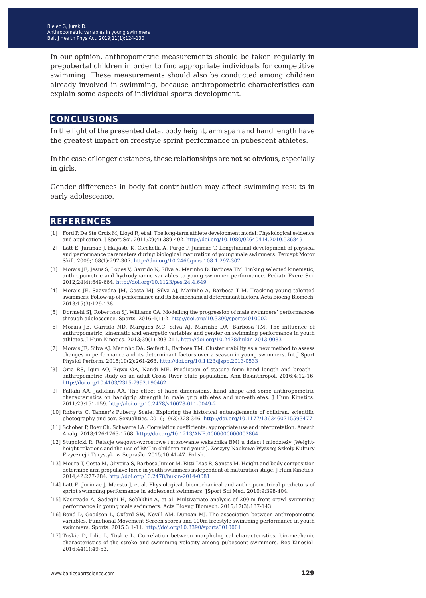In our opinion, anthropometric measurements should be taken regularly in prepubertal children in order to find appropriate individuals for competitive swimming. These measurements should also be conducted among children already involved in swimming, because anthropometric characteristics can explain some aspects of individual sports development.

## **conclusions**

In the light of the presented data, body height, arm span and hand length have the greatest impact on freestyle sprint performance in pubescent athletes.

In the case of longer distances, these relationships are not so obvious, especially in girls.

Gender differences in body fat contribution may affect swimming results in early adolescence.

## **references**

- [1] Ford P, De Ste Croix M, Lloyd R, et al. The long-term athlete development model: Physiological evidence and application. J Sport Sci. 2011;29(4):389-402. <http://doi.org/10.1080/02640414.2010.536849>
- [2] Lätt E, Jürimäe J, Haljaste K, Cicchella A, Purge P, Jürimäe T. Longitudinal development of physical and performance parameters during biological maturation of young male swimmers. Percept Motor Skill. 2009;108(1):297-307.<http://doi.org/10.2466/pms.108.1.297-307>
- [3] Morais JE, Jesus S, Lopes V, Garrido N, Silva A, Marinho D, Barbosa TM. Linking selected kinematic, anthropometric and hydrodynamic variables to young swimmer performance. Pediatr Exerc Sci. 2012;24(4):649-664.<http://doi.org/10.1123/pes.24.4.649>
- [4] Morais JE, Saavedra JM, Costa MJ, Silva AJ, Marinho A, Barbosa T M. Tracking young talented swimmers: Follow-up of performance and its biomechanical determinant factors. Acta Bioeng Biomech. 2013;15(3):129-138.
- [5] Dormehl SJ, Robertson SJ, Williams CA. Modelling the progression of male swimmers' performances through adolescence. Sports. 2016;4(1):2. <http://doi.org/10.3390/sports4010002>
- [6] Morais JE, Garrido ND, Marques MC, Silva AJ, Marinho DA, Barbosa TM. The influence of anthropometric, kinematic and energetic variables and gender on swimming performance in youth athletes. J Hum Kinetics. 2013;39(1):203-211. <http://doi.org/10.2478/hukin-2013-0083>
- [7] Morais JE, Silva AJ, Marinho DA, Seifert L, Barbosa TM. Cluster stability as a new method to assess changes in performance and its determinant factors over a season in young swimmers. Int J Sport Physiol Perform. 2015;10(2):261-268.<http://doi.org/10.1123/ijspp.2013-0533>
- [8] Oria RS, Igiri AO, Egwu OA, Nandi ME. Prediction of stature form hand length and breath anthropometric study on an adult Cross River State population. Ann Bioanthropol. 2016;4:12-16. <http://doi.org/10.4103/2315-7992.190462>
- [9] Fallahi AA, Jadidian AA. The effect of hand dimensions, hand shape and some anthropometric characteristics on handgrip strength in male grip athletes and non-athletes. J Hum Kinetics. 2011;29:151-159.<http://doi.org/10.2478/v10078-011-0049-2>
- [10] Roberts C. Tanner's Puberty Scale: Exploring the historical entanglements of children, scientific photography and sex. Sexualities. 2016;19(3):328-346. <http://doi.org/10.1177/1363460715593477>
- [11] Schober P, Boer Ch, Schwarte LA. Correlation coefficients: appropriate use and interpretation. Anasth Analg. 2018;126:1763-1768. <http://doi.org/10.1213/ANE.0000000000002864>
- [12] Stupnicki R. Relacje wagowo-wzrostowe i stosowanie wskaźnika BMI u dzieci i młodzieży [Weightheight relations and the use of BMI in children and youth]. Zeszyty Naukowe Wyższej Szkoły Kultury Fizycznej i Turystyki w Supraślu. 2015;10:41-47. Polish.
- [13] Moura T, Costa M, Oliveira S, Barbosa Junior M, Ritti-Dias R, Santos M. Height and body composition determine arm propulsive force in youth swimmers independent of maturation stage. J Hum Kinetics. 2014;42:277-284.<http://doi.org/10.2478/hukin-2014-0081>
- [14] Latt E, Jurimae J, Maestu J, et al. Physiological, biomechanical and anthropometrical predictors of sprint swimming performance in adolescent swimmers. JSport Sci Med. 2010;9:398-404.
- [15] Nasirzade A, Sadeghi H, Sobhkhiz A, et al. Multivariate analysis of 200-m front crawl swimming performance in young male swimmers. Acta Bioeng Biomech. 2015;17(3):137-143.
- [16] Bond D, Goodson L, Oxford SW, Nevill AM, Duncan MJ. The association between anthropometric variables, Functional Movement Screen scores and 100m freestyle swimming performance in youth swimmers. Sports. 2015:3:1-11. <http://doi.org/10.3390/sports3010001>
- [17] Toskic D, Lilic L, Toskic L. Correlation between morphological characteristics, bio-mechanic characteristics of the stroke and swimming velocity among pubescent swimmers. Res Kinesiol. 2016:44(1):49-53.